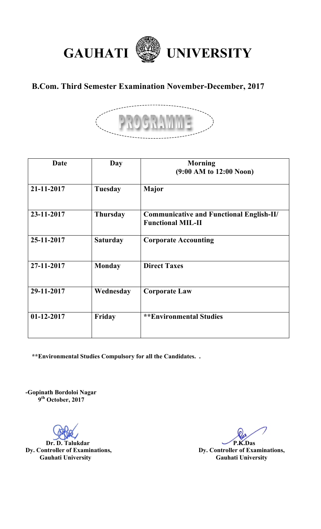

## **B.Com. Third Semester Examination November-December, 2017**



| Date         | Day             | <b>Morning</b><br>$(9:00 \text{ AM to } 12:00 \text{ Noon})$                |
|--------------|-----------------|-----------------------------------------------------------------------------|
| 21-11-2017   | <b>Tuesday</b>  | <b>Major</b>                                                                |
| 23-11-2017   | <b>Thursday</b> | <b>Communicative and Functional English-II/</b><br><b>Functional MIL-II</b> |
| 25-11-2017   | <b>Saturday</b> | <b>Corporate Accounting</b>                                                 |
| 27-11-2017   | <b>Monday</b>   | <b>Direct Taxes</b>                                                         |
| 29-11-2017   | Wednesday       | <b>Corporate Law</b>                                                        |
| $01-12-2017$ | Friday          | <b>**Environmental Studies</b>                                              |

 **\*\*Environmental Studies Compulsory for all the Candidates. .** 

**-Gopinath Bordoloi Nagar 9th October, 2017**

**Dr. D. Talukdar P.K.Das Dy. Controller of Examinations, P.K.Das P.K.Das Gauhati University Gauhati University**

**Dy. Controller of Examinations,**